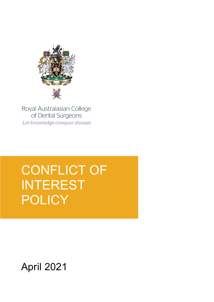

Royal Australasian College of Dental Surgeons Let knowledge conquer disease

ī

# CONFLICT OF INTEREST POLICY

April 2021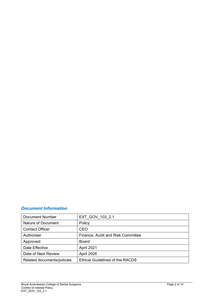# *Document Information*

| <b>Document Number</b>     | EXT GOV 103 2.1                        |
|----------------------------|----------------------------------------|
| Nature of Document         | Policy                                 |
| <b>Contact Officer</b>     | <b>CEO</b>                             |
| Authoriser                 | Finance, Audit and Risk Committee      |
| Approved:                  | <b>Board</b>                           |
| Date Effective             | April 2021                             |
| Date of Next Review        | April 2026                             |
| Related documents/policies | <b>Ethical Guidelines of the RACDS</b> |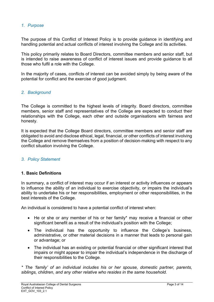## *1. Purpose*

The purpose of this Conflict of Interest Policy is to provide guidance in identifying and handling potential and actual conflicts of interest involving the College and its activities.

This policy primarily relates to Board Directors, committee members and senior staff, but is intended to raise awareness of conflict of interest issues and provide guidance to all those who fulfil a role with the College.

In the majority of cases, conflicts of interest can be avoided simply by being aware of the potential for conflict and the exercise of good judgment.

## *2. Background*

The College is committed to the highest levels of integrity. Board directors, committee members, senior staff and representatives of the College are expected to conduct their relationships with the College, each other and outside organisations with fairness and honesty.

It is expected that the College Board directors, committee members and senior staff are obligated to avoid and disclose ethical, legal, financial, or other conflicts of interest involving the College and remove themselves from a position of decision-making with respect to any conflict situation involving the College.

## *3. Policy Statement*

#### **1. Basic Definitions**

In summary, a conflict of interest may occur if an interest or activity influences or appears to influence the ability of an individual to exercise objectivity, or impairs the individual's ability to undertake his or her responsibilities, employment or other responsibilities, in the best interests of the College.

An individual is considered to have a potential conflict of interest when:

- He or she or any member of his or her family\* may receive a financial or other significant benefit as a result of the individual's position with the College;
- The individual has the opportunity to influence the College's business, administrative, or other material decisions in a manner that leads to personal gain or advantage; or
- The individual has an existing or potential financial or other significant interest that impairs or might appear to impair the individual's independence in the discharge of their responsibilities to the College.

*\* The 'family' of an individual includes his or her spouse, domestic partner, parents, siblings, children, and any other relative who resides in the same household.*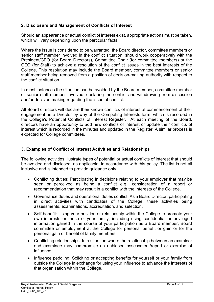## **2. Disclosure and Management of Conflicts of Interest**

Should an appearance or actual conflict of interest exist, appropriate actions must be taken, which will vary depending upon the particular facts.

Where the issue is considered to be warranted, the Board director, committee members or senior staff member involved in the conflict situation, should work cooperatively with the President/CEO (for Board Directors), Committee Chair (for committee members) or the CEO (for Staff) to achieve a resolution of the conflict issues in the best interests of the College. This resolution may include the Board member, committee members or senior staff member being removed from a position of decision-making authority with respect to the conflict situation.

In most instances the situation can be avoided by the Board member, committee member or senior staff member involved, declaring the conflict and withdrawing from discussion and/or decision making regarding the issue of conflict.

All Board directors will declare their known conflicts of interest at commencement of their engagement as a Director by way of the Competing Interests form, which is recorded in the College's Potential Conflicts of Interest Register. At each meeting of the Board, directors have an opportunity to add new conflicts of interest or update their conflicts of interest which is recorded in the minutes and updated in the Register. A similar process is expected for College committees.

## **3. Examples of Conflict of Interest Activities and Relationships**

The following activities illustrate types of potential or actual conflicts of interest that should be avoided and disclosed, as applicable, in accordance with this policy. The list is not all inclusive and is intended to provide guidance only.

- Conflicting duties: Participating in decisions relating to your employer that may be seen or perceived as being a conflict e.g., consideration of a report or recommendation that may result in a conflict with the interests of the College.
- Governance duties and operational duties conflict: As a Board Director, participating in direct activities with candidates of the College, these activities being assessments, examinations, accreditation, and selection.
- Self-benefit: Using your position or relationship within the College to promote your own interests or those of your family, including using confidential or privileged information gained in the course of your participation as a Board member, Board committee or employment at the College for personal benefit or gain or for the personal gain or benefit of family members.
- Conflicting relationships: In a situation where the relationship between an examiner and examinee may compromise an unbiased assessment/report or exercise of influence.
- Influence peddling: Soliciting or accepting benefits for yourself or your family from outside the College in exchange for using your influence to advance the interests of that organisation within the College.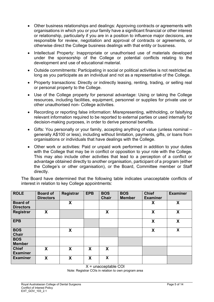- Other business relationships and dealings: Approving contracts or agreements with organisations in which you or your family have a significant financial or other interest or relationship, particularly if you are in a position to influence major decisions, are responsible for review, negotiation and approval of contracts or agreements, or otherwise direct the College business dealings with that entity or business.
- Intellectual Property: Inappropriate or unauthorised use of materials developed under the sponsorship of the College or potential conflicts relating to the development and use of educational material.
- Outside commitments: Participating in social or political activities is not restricted as long as you participate as an individual and not as a representative of the College.
- Property transactions: Directly or indirectly leasing, renting, trading, or selling real or personal property to the College.
- Use of the College property for personal advantage: Using or taking the College resources, including facilities, equipment, personnel or supplies for private use or other unauthorised non- College activities.
- Recording or reporting false information: Misrepresenting, withholding, or falsifying relevant information required to be reported to external parties or used internally for decision-making purposes, in order to derive personal benefits.
- Gifts: You personally or your family, accepting anything of value (unless nominal generally A\$100 or less), including without limitation, payments, gifts, or loans from organisations or individuals that have dealings with the College.
- Other work or activities: Paid or unpaid work performed in addition to your duties with the College that may be in conflict or opposition to your role with the College. This may also include other activities that lead to a perception of a conflict or advantage obtained directly to another organisation, participant of a program (either the College's or other organisation), or the Board, Committee member or Staff directly.

The Board have determined that the following table indicates unacceptable conflicts of interest in relation to key College appointments:

| <b>ROLE</b>                     | <b>Board of</b><br><b>Directors</b> | <b>Registrar</b> | <b>EPB</b> | <b>BOS</b><br><b>Chair</b> | <b>BOS</b><br><b>Member</b> | <b>Chief</b><br><b>Examiner</b> | <b>Examiner</b> |
|---------------------------------|-------------------------------------|------------------|------------|----------------------------|-----------------------------|---------------------------------|-----------------|
| <b>Board of</b>                 |                                     | X                |            |                            |                             | χ                               | X               |
| <b>Directors</b>                |                                     |                  |            |                            |                             |                                 |                 |
| <b>Registrar</b>                | X                                   |                  |            | X                          |                             | X                               | X               |
| <b>EPB</b>                      |                                     |                  |            |                            |                             | X                               | X               |
| <b>BOS</b><br><b>Chair</b>      |                                     | X                |            |                            |                             | X                               | X               |
| <b>BOS</b><br><b>Member</b>     |                                     |                  |            |                            |                             |                                 |                 |
| <b>Chief</b><br><b>Examiner</b> | X                                   | X                | X          | X                          |                             |                                 |                 |
| <b>Examiner</b>                 | X                                   | X                | X          | X                          |                             |                                 |                 |

X = unacceptable COI

Note: Registrar COIs in relation to own program area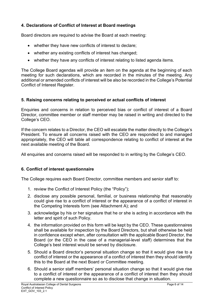## **4. Declarations of Conflict of Interest at Board meetings**

Board directors are required to advise the Board at each meeting:

- whether they have new conflicts of interest to declare;
- whether any existing conflicts of interest has changed;
- whether they have any conflicts of interest relating to listed agenda items.

The College Board agendas will provide an item on the agenda at the beginning of each meeting for such declarations, which are recorded in the minutes of the meeting. Any additional or amended conflicts of interest will be also be recorded in the College's Potential Conflict of Interest Register.

## **5. Raising concerns relating to perceived or actual conflicts of interest**

Enquiries and concerns in relation to perceived bias or conflict of interest of a Board Director, committee member or staff member may be raised in writing and directed to the College's CEO.

If the concern relates to a Director, the CEO will escalate the matter directly to the College's President. To ensure all concerns raised with the CEO are responded to and managed appropriately, the CEO will table all correspondence relating to conflict of interest at the next available meeting of the Board.

All enquiries and concerns raised will be responded to in writing by the College's CEO.

## **6. Conflict of interest questionnaire**

The College requires each Board Director, committee members and senior staff to:

- 1. review the Conflict of Interest Policy (the "Policy");
- 2. disclose any possible personal, familial, or business relationship that reasonably could give rise to a conflict of interest or the appearance of a conflict of interest in the Competing Interests form (see Attachment A); and
- 3. acknowledge by his or her signature that he or she is acting in accordance with the letter and spirit of such Policy.
- 4. the information provided on this form will be kept by the CEO. These questionnaires shall be available for inspection by the Board Directors, but shall otherwise be held in confidence except when, after consultation with the applicable Board Director, the Board (or the CEO in the case of a managerial-level staff) determines that the College's best interest would be served by disclosure.
- 5. Should a Board director's personal situation change so that it would give rise to a conflict of interest or the appearance of a conflict of interest then they should identify this to the Board at the next Board or Committee meeting.
- 6. Should a senior staff members' personal situation change so that it would give rise to a conflict of interest or the appearance of a conflict of interest then they should complete a new questionnaire so as to disclose that change in situation.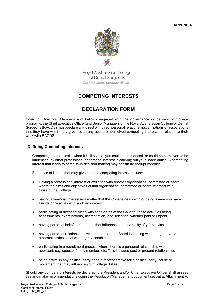**APPENDIX**



Royal Australasian College of Dental Surgeons Let knowledge conquer disease

# **COMPETING INTERESTS**

# **DECLARATION FORM**

Board of Directors, Members and Fellows engaged with the governance or delivery of College programs, the Chief Executive Officer and Senior Managers of the Royal Australasian College of Dental Surgeons (RACDS) must declare any direct or indirect personal relationships, affiliations or associations that they have which may give rise to any actual or perceived competing interests in relation to their work with RACDS.

#### **Defining Competing Interests**

Competing interests exist when it is likely that you could be influenced, or could be perceived to be influenced, by other professional or personal interest in carrying out your Board duties. A competing interest that leads to partiality in decision-making may constitute corrupt conduct.

Examples of issues that may give rise to a competing interest include:

- Having a professional interest or affiliation with another organisation, committee or board where the aims and objectives of that organisation, committee or board intersect with those of the College
- having a financial interest in a matter that the College deals with or being aware you have friends or relatives with such an interest
- participating in direct activities with candidates of the College, these activities being assessments, examinations, accreditation, and selection, whether paid or unpaid
- having personal beliefs or attitudes that influence the impartiality of your advice
- having personal relationships with the people that Board is dealing with that go beyond a normal professional working relationship
- participating in a recruitment process where there is a personal relationship with an applicant, e.g. spouse, family member, etc. This includes past or present relationships
- being active in any political party or as a representative for a political party, cause or movement that may influence your College duties

Should any competing interests be declared, the President and/or Chief Executive Officer shall assess this and make recommendations using the Resolution/Management document set out at Attachment A.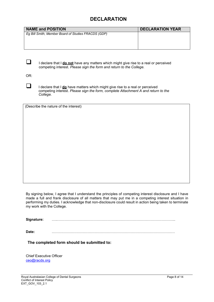# **DECLARATION**

| <b>NAME and POSITION</b>                                                              | <b>DECLARATION YEAR</b> |
|---------------------------------------------------------------------------------------|-------------------------|
| Eg Bill Smith, Member Board of Studies FRACDS (GDP)                                   |                         |
|                                                                                       |                         |
|                                                                                       |                         |
|                                                                                       |                         |
|                                                                                       |                         |
| I declare that I do not have any matters which might give rise to a real or perceived |                         |

OR:

I declare that I **do** have matters which might give rise to a real or perceived competing interest. *Please sign the form, complete Attachment A and return to the College.*

competing interest. *Please sign the form and return to the College.*

(Describe the nature of the interest)

By signing below, I agree that I understand the principles of competing interest disclosure and I have made a full and frank disclosure of all matters that may put me in a competing interest situation in performing my duties. I acknowledge that non-disclosure could result in action being taken to terminate my work with the College.

 $Signature:$ 

**Date:** ……………………………………………………………………………………….…

**The completed form should be submitted to:**

Chief Executive Officer [ceo@racds.org](mailto:ceo@racds.org)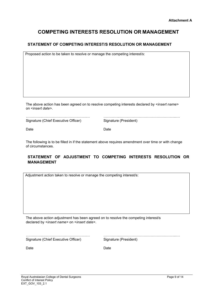## **COMPETING INTERESTS RESOLUTION OR MANAGEMENT**

#### **STATEMENT OF COMPETING INTEREST/S RESOLUTION OR MANAGEMENT**

Proposed action to be taken to resolve or manage the competing interest/s:

The above action has been agreed on to resolve competing interests declared by <*insert name>*  on <*insert date>*.

Signature (Chief Executive Officer)

…………..……………………………….… …………..………………………………………...…

Date **Date** Date **Date** 

The following is to be filled in if the statement above requires amendment over time or with change of circumstances.

#### **STATEMENT OF ADJUSTMENT TO COMPETING INTERESTS RESOLUTION OR MANAGEMENT**

Adjustment action taken to resolve or manage the competing interest/s:

The above action adjustment has been agreed on to resolve the competing interest/s declared by <*insert name>* on <*insert date>*.

…………..……………………………….… …………..………………………………………...… Signature (Chief Executive Officer)

Date **Date Date**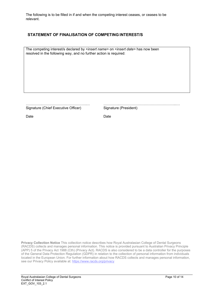The following is to be filled in if and when the competing interest ceases, or ceases to be relevant.

#### **STATEMENT OF FINALISATION OF COMPETING INTEREST/S**

The competing interest/s declared by <*insert name>* on <*insert date>* has now been resolved in the following way, and no further action is required:

Signature (Chief Executive Officer)

…………..……………………………….… …………..………………………………………...…

Date **Date** Date **Date** 

**Privacy Collection Notice** This collection notice describes how Royal Australasian College of Dental Surgeons (RACDS) collects and manages personal information. This notice is provided pursuant to Australian Privacy Principle (APP) 5 of the Privacy Act 1988 (Cth) (Privacy Act). RACDS is also considered to be a data controller for the purposes of the General Data Protection Regulation (GDPR) in relation to the collection of personal information from individuals located in the European Union. For further information about how RACDS collects and manages personal information, see our Privacy Policy available at[: https://www.racds.org/privacy](https://www.racds.org/privacy)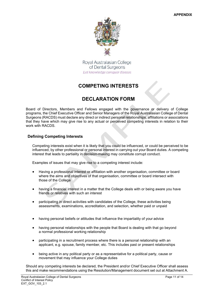

Royal Australasian College of Dental Surgeons Let knowledge conquer disease

# **COMPETING INTERESTS**

# **DECLARATION FORM**

Board of Directors, Members and Fellows engaged with the governance or delivery of College programs, the Chief Executive Officer and Senior Managers of the Royal Australasian College of Dental Surgeons (RACDS) must declare any direct or indirect personal relationships, affiliations or associations that they have which may give rise to any actual or perceived competing interests in relation to their work with RACDS.

#### **Defining Competing Interests**

Competing interests exist when it is likely that you could be influenced, or could be perceived to be influenced, by other professional or personal interest in carrying out your Board duties. A competing interest that leads to partiality in decision-making may constitute corrupt conduct.

Examples of issues that may give rise to a competing interest include:

- Having a professional interest or affiliation with another organisation, committee or board where the aims and objectives of that organisation, committee or board intersect with those of the College
- having a financial interest in a matter that the College deals with or being aware you have friends or relatives with such an interest
- participating in direct activities with candidates of the College, these activities being assessments, examinations, accreditation, and selection, whether paid or unpaid
- having personal beliefs or attitudes that influence the impartiality of your advice
- having personal relationships with the people that Board is dealing with that go beyond a normal professional working relationship
- participating in a recruitment process where there is a personal relationship with an applicant, e.g. spouse, family member, etc. This includes past or present relationships
- being active in any political party or as a representative for a political party, cause or movement that may influence your College duties

Should any competing interests be declared, the President and/or Chief Executive Officer shall assess this and make recommendations using the Resolution/Management document set out at Attachment A.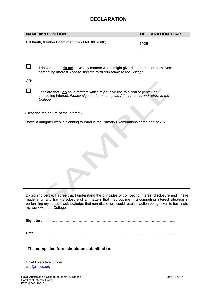## **DECLARATION**

| <b>NAME and POSITION</b>                         | <b>DECLARATION YEAR</b> |
|--------------------------------------------------|-------------------------|
| Bill Smith, Member Board of Studies FRACDS (GDP) | 2020                    |

I declare that I **do not** have any matters which might give rise to a real or perceived competing interest. *Please sign the form and return to the College.*

OR:

I declare that I **do** have matters which might give rise to a real or perceived competing interest. *Please sign the form, complete Attachment A and return to the College.*

| (Describe the nature of the interest)                                                      |  |
|--------------------------------------------------------------------------------------------|--|
| I have a daughter who is planning to enrol in the Primary Examinations at the end of 2020. |  |
|                                                                                            |  |
|                                                                                            |  |
|                                                                                            |  |
|                                                                                            |  |
|                                                                                            |  |
|                                                                                            |  |
|                                                                                            |  |

By signing below, I agree that I understand the principles of competing interest disclosure and I have made a full and frank disclosure of all matters that may put me in a competing interest situation in performing my duties. I acknowledge that non-disclosure could result in action being taken to terminate my work with the College.

 $Signature:$ 

**Date:** ……………………………………………………………………………………….…

**The completed form should be submitted to:**

Chief Executive Officer [ceo@racds.org](mailto:ceo@racds.org)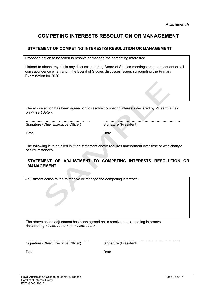# **COMPETING INTERESTS RESOLUTION OR MANAGEMENT**

#### **STATEMENT OF COMPETING INTEREST/S RESOLUTION OR MANAGEMENT**

Proposed action to be taken to resolve or manage the competing interest/s:

I intend to absent myself in any discussion during Board of Studies meetings or in subsequent email correspondence when and if the Board of Studies discusses issues surrounding the Primary Examination for 2020.

The above action has been agreed on to resolve competing interests declared by <*insert name>*  on <*insert date>*.

Signature (Chief Executive Officer)

…………..……………………………….… …………..………………………………………...…

Date Date

The following is to be filled in if the statement above requires amendment over time or with change of circumstances.

#### **STATEMENT OF ADJUSTMENT TO COMPETING INTERESTS RESOLUTION OR MANAGEMENT**

Adjustment action taken to resolve or manage the competing interest/s:

The above action adjustment has been agreed on to resolve the competing interest/s declared by <*insert name>* on <*insert date>*.

…………..……………………………….… …………..………………………………………...… Signature (Chief Executive Officer) Signature (President)

Date **Date Date Date Date**